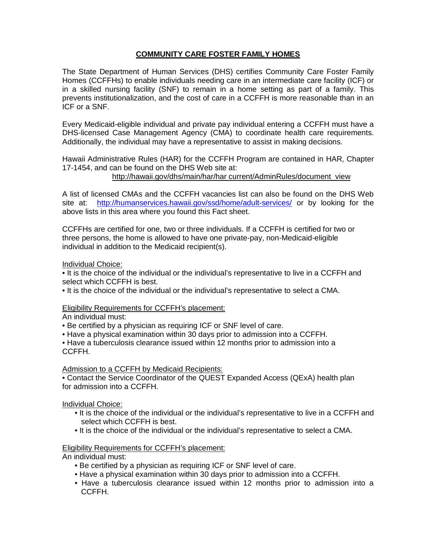# **COMMUNITY CARE FOSTER FAMILY HOMES**

The State Department of Human Services (DHS) certifies Community Care Foster Family Homes (CCFFHs) to enable individuals needing care in an intermediate care facility (ICF) or in a skilled nursing facility (SNF) to remain in a home setting as part of a family. This prevents institutionalization, and the cost of care in a CCFFH is more reasonable than in an ICF or a SNF.

Every Medicaid-eligible individual and private pay individual entering a CCFFH must have a DHS-licensed Case Management Agency (CMA) to coordinate health care requirements. Additionally, the individual may have a representative to assist in making decisions.

Hawaii Administrative Rules (HAR) for the CCFFH Program are contained in HAR, Chapter 17-1454, and can be found on the DHS Web site at:

http://hawaii.gov/dhs/main/har/har current/AdminRules/document\_view

A list of licensed CMAs and the CCFFH vacancies list can also be found on the DHS Web site at: http://humanservices.hawaii.gov/ssd/home/adult-services/ or by looking for the above lists in this area where you found this Fact sheet.

CCFFHs are certified for one, two or three individuals. If a CCFFH is certified for two or three persons, the home is allowed to have one private-pay, non-Medicaid-eligible individual in addition to the Medicaid recipient(s).

## Individual Choice:

• It is the choice of the individual or the individual's representative to live in a CCFFH and select which CCFFH is best.

• It is the choice of the individual or the individual's representative to select a CMA.

## Eligibility Requirements for CCFFH's placement:

An individual must:

- Be certified by a physician as requiring ICF or SNF level of care.
- Have a physical examination within 30 days prior to admission into a CCFFH.

• Have a tuberculosis clearance issued within 12 months prior to admission into a CCFFH.

## Admission to a CCFFH by Medicaid Recipients:

• Contact the Service Coordinator of the QUEST Expanded Access (QExA) health plan for admission into a CCFFH.

## Individual Choice:

- It is the choice of the individual or the individual's representative to live in a CCFFH and select which CCFFH is best.
- It is the choice of the individual or the individual's representative to select a CMA.

## Eligibility Requirements for CCFFH's placement:

An individual must:

- Be certified by a physician as requiring ICF or SNF level of care.
- Have a physical examination within 30 days prior to admission into a CCFFH.
- Have a tuberculosis clearance issued within 12 months prior to admission into a CCFFH.